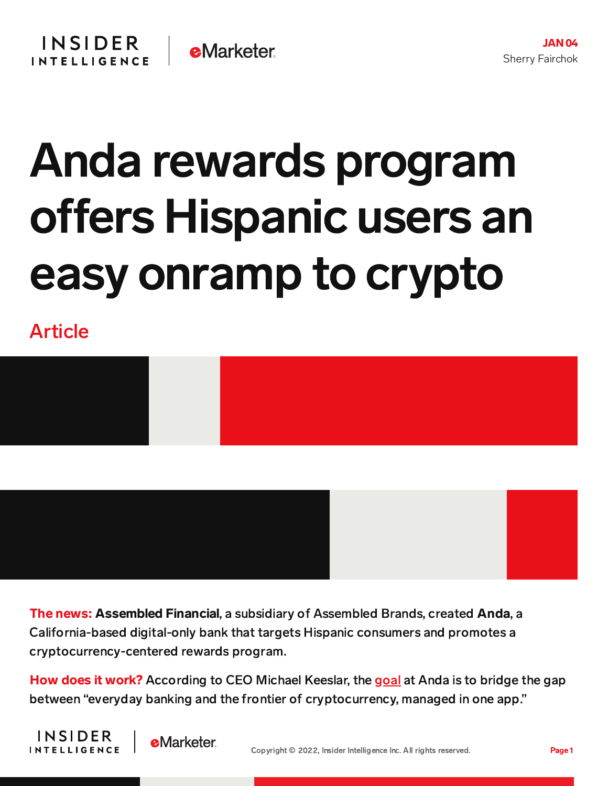## Anda rewards program offers Hispanic users an easy onramp to crypto

Article





The news: Assembled Financial, a subsidiary of Assembled Brands, created Anda, a California-based digital-only bank that targets Hispanic consumers and promotes a cryptocurrency-centered rewards program.

How does it work? According to CEO Michael Keeslar, the [goal](https://labusinessjournal.com/news/2022/jan/03/fintech-launches-crypto-bank-account-hispanics/) at Anda is to bridge the gap between "everyday banking and the frontier of cryptocurrency, managed in one app."



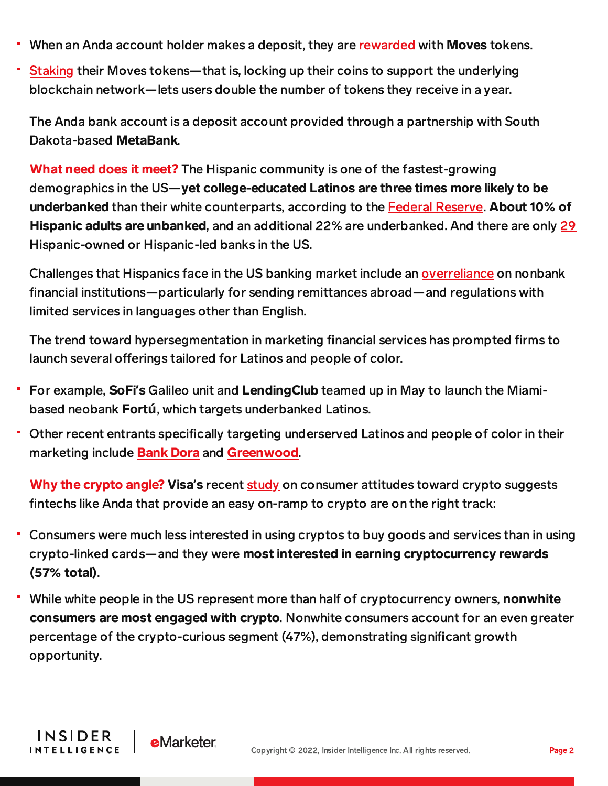- When an Anda account holder makes a deposit, they are [rewarded](https://andafinance.com/) with **Moves** tokens.
- [Staking](https://andafinance.com/moves_tokens.html) their Moves tokens—that is, locking up their coins to support the underlying blockchain network—lets users double the number of tokens they receive in a year.

The Anda bank account is a deposit account provided through a partnership with South Dakota-based MetaBank.

What need does it meet? The Hispanic community is one of the fastest-growing demographics in the US—yet college-educated Latinos are three times more likely to be underbanked than their white counterparts, according to the **Federal [Reserve.](https://c212.net/c/link/?t=0&l=en&o=3145644-1&h=4277993579&u=https://www.federalreserve.gov/publications/2020-economic-well-being-of-us-households-in-2019-banking-and-credit.htm&a=Federal+Reserve)** About 10% of Hispanic adults are unbanked, and an additional 22% are underbanked. And there are only [29](https://mightydeposits.com/posts/hispanic-owned-banks) Hispanic-owned or Hispanic-led banks in the US.

Challenges that Hispanics face in the US banking market include an [overreliance](https://www.unidosus.org/blog/2019/06/07/banking-in-color-financial-system-latinos/) on nonbank financial institutions—particularly for sending remittances abroad—and regulations with limited services in languages other than English.

The trend toward hypersegmentation in marketing financial services has prompted firms to launch several offerings tailored for Latinos and people of color.

- For example, SoFi**'**s Galileo unit and LendingClub teamed up in May to launch the Miamibased neobank Fort**ú**, which targets underbanked Latinos.
- Other recent entrants specifically targeting underserved Latinos and people of color in their marketing include [Bank](https://content-na2.emarketer.com/credit-unions-bank-dora-latest-digital-player-catering-underserved-americans) Dora and [Greenwood](https://content-na2.emarketer.com/greenwood-content-studio-interest-users-ahead-of-launch).

Why the crypto angle? Visa**'**s recent [study](https://usa.visa.com/content/dam/VCOM/regional/na/us/Solutions/documents/visa-crypto-consumer-perceptions-white-paper.pdf?utm_source=Triggermail&utm_medium=email&utm_campaign=Fintech%20Briefing%2012212021&utm_term=BII%20List%20Fintech%20ALL) on consumer attitudes toward crypto suggests fintechs like Anda that provide an easy on-ramp to crypto are on the right track:

- Consumers were much less interested in using cryptos to buy goods and services than in using crypto-linked cards—and they were most interested in earning cryptocurrency rewards (57% total).
- While white people in the US represent more than half of cryptocurrency owners, nonwhite consumers are most engaged with crypto. Nonwhite consumers account for an even greater percentage of the crypto-curious segment (47%), demonstrating significant growth opportunity.